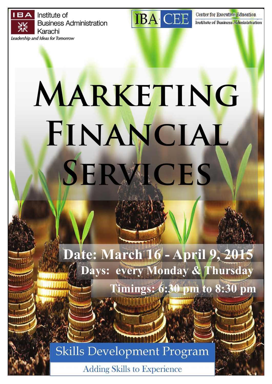Institute of **Business Administration** Karachi Leadership and Ideas for Tomorrow



Center for Executive Education Institute of Business Administration

# **MARKETING Financial Services**

**Date: March 16 - April 9, 2015 Days: every Monday & Thursday** 

 **Timings: 6:30 pm to 8:30 pm** 



**Adding Skills to Experience**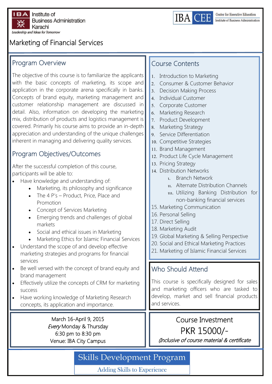



## Marketing of Financial Services

#### Program Overview

The objective of this course is to familiarize the applicants with the basic concepts of marketing, its scope and application in the corporate arena specifically in banks. Concepts of brand equity, marketing management and customer relationship management are discussed in detail. Also, information on developing the marketing mix, distribution of products and logistics management is covered. Primarily his course aims to provide an in-depth appreciation and understanding of the unique challenges inherent in managing and delivering quality services.

## Program Objectives/Outcomes

After the successful completion of this course, participants will be able to:

- Have knowledge and understanding of:
	- Marketing, its philosophy and significance
	- The 4 P's Product, Price, Place and Promotion
	- Concept of Services Marketing
	- Emerging trends and challenges of global markets
	- Social and ethical issues in Marketing
	- Marketing Ethics for Islamic Financial Services
- Understand the scope of and develop effective marketing strategies and programs for financial services
- Be well versed with the concept of brand equity and brand management
- Effectively utilize the concepts of CRM for marketing success
- Have working knowledge of Marketing Research concepts, its application and importance.

March 16-April 9, 2015 Every Monday & Thursday 6:30 pm to 8:30 pm Venue: IBA City Campus

#### Course Contents

- 1. Introduction to Marketing
- Consumer & Customer Behavior
- Decision Making Process
- 4. Individual Customer
- 5. Corporate Customer
- 6. Marketing Research
- 7. Product Development
- 8. Marketing Strategy
- 9. Service Differentiation
- 10. Competitive Strategies
- 11. Brand Management
- 12. Product Life Cycle Management
- 13. Pricing Strategy
- 14. Distribution Networks
	- Branch Network
	- Alternate Distribution Channels
	- uu. Utilizing Banking Distribution for non-banking financial services
- 15. Marketing Communication
- 16. Personal Selling
- 17. Direct Selling
- 18. Marketing Audit
- 19. Global Marketing & Selling Perspective
- 20. Social and Ethical Marketing Practices
- 21. Marketing of Islamic Financial Services

#### Who Should Attend

This course is specifically designed for sales and marketing officers who are tasked to develop, market and sell financial products and services.

## Course Investment PKR 15000/-

(Inclusive of course material & certificate

# **Skills Development Program**

**Adding Skills to Experience**